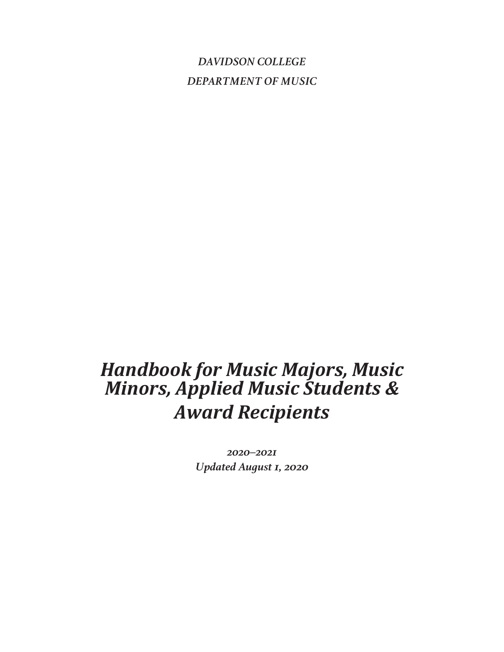*DAVIDSON COLLEGE DEPARTMENT OF MUSIC*

# *Handbook for Music Majors, Music Minors, Applied Music Students & Award Recipients*

*2020–2021 Updated August 1, 2020*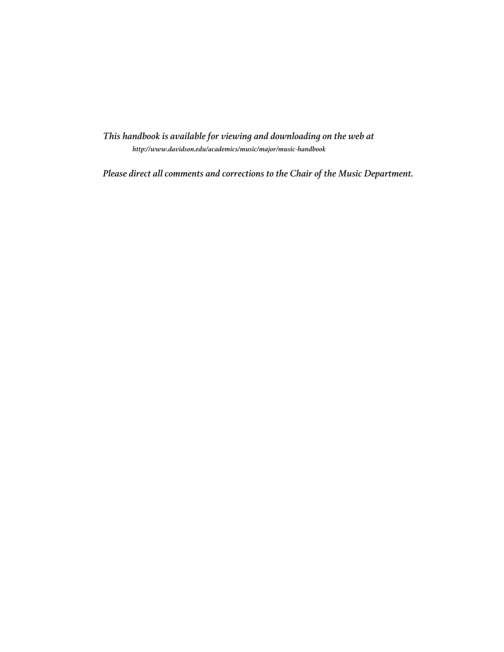*This handbook is available for viewing and downloading on the web at http://www.davidson.edu/academics/music/major/music-handbook*

*Please direct all comments and corrections to the Chair of the Music Department.*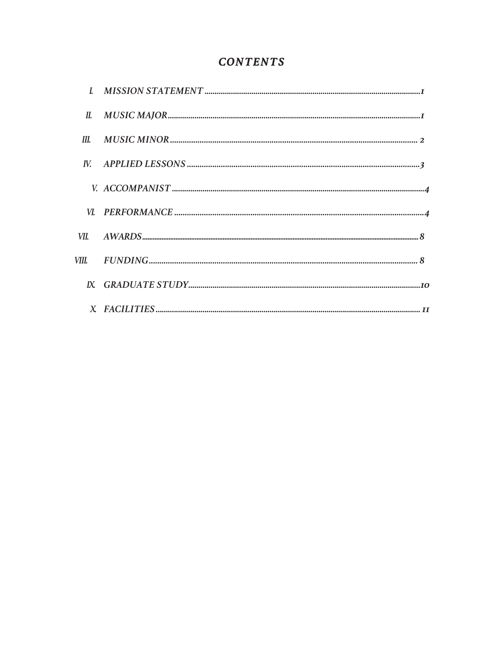# **CONTENTS**

| Ш.    |  |
|-------|--|
| III.  |  |
|       |  |
|       |  |
|       |  |
| VII.  |  |
| VIII. |  |
|       |  |
|       |  |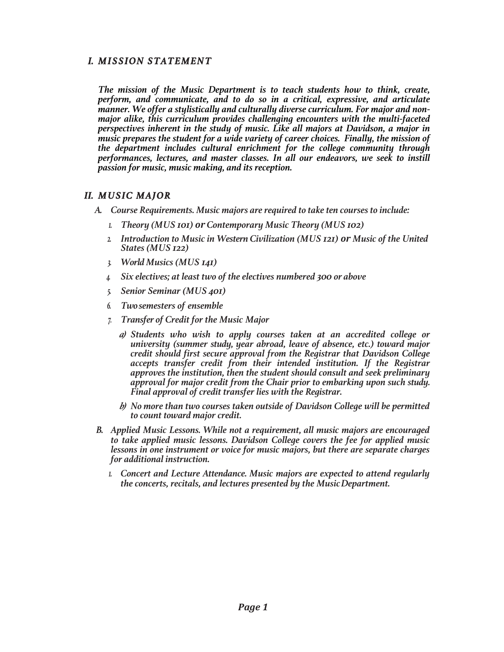#### *I. MISSION STATEMENT*

*The mission of the Music Department is to teach students how to think, create, perform, and communicate, and to do so in a critical, expressive, and articulate manner. We offer a stylistically and culturally diverse curriculum. For major and non- major alike, this curriculum provides challenging encounters with the multi-faceted perspectives inherent in the study of music. Like all majors at Davidson, a major in music prepares the student for a wide variety of career choices. Finally, the mission of the department includes cultural enrichment for the college community through performances, lectures, and master classes. In all our endeavors, we seek to instill passion for music, music making, and its reception.*

#### *II. MUSIC MAJOR*

- *A. Course Requirements. Music majors arerequired to taketen courses to include:*
	- *1. Theory (MUS 101) or Contemporary Music Theory (MUS 102)*
	- *2. Introduction to Music in Western Civilization (MUS 121) or Music of the United States (MUS 122)*
	- *3. World Musics (MUS 141)*
	- *4. Six electives; at least two of the electives numbered 300 or above*
	- *5. Senior Seminar (MUS 401)*
	- *6. Two semesters of ensemble*
	- *7. Transfer of Credit for the Music Major*
		- *a) Students who wish to apply courses taken at an accredited college or university (summer study, year abroad, leave of absence, etc.) toward major credit should first secure approval from the Registrar that Davidson College accepts transfer credit from their intended institution. If the Registrar approves the institution, then the student should consult and seek preliminary approval for major credit from the Chair prior to embarking upon such study. Final approval of credit transfer lies with the Registrar.*
		- *b) No more than two courses taken outside of Davidson College will be permitted to count toward major credit.*
- *B. Applied Music Lessons. While not a requirement, all music majors are encouraged to take applied music lessons. Davidson College covers the fee for applied music lessons in one instrument or voice for music majors, but there are separate charges for additional instruction.*
	- *1. Concert and Lecture Attendance. Music majors are expected to attend regularly the concerts, recitals, and lectures presented by the MusicDepartment.*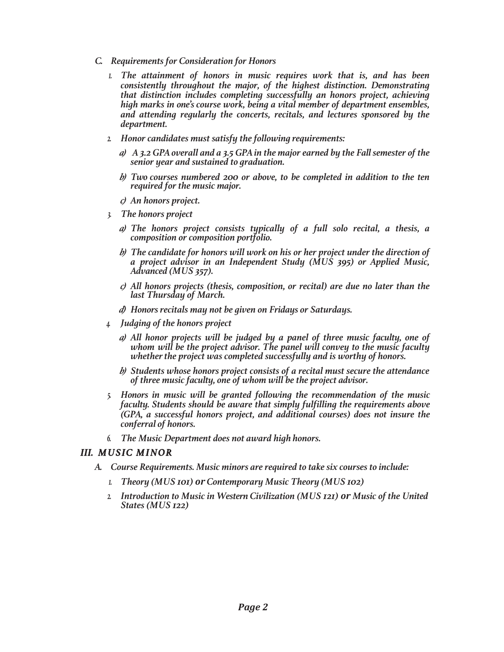- *C. Requirements for Consideration for Honors*
	- *1. The attainment of honors in music requires work that is, and has been consistently throughout the major, of the highest distinction. Demonstrating that distinction includes completing successfully an honors project, achieving high marks in one's course work, being a vital member of department ensembles, and attending regularly the concerts, recitals, and lectures sponsored by the department.*
	- *2. Honor candidates must satisfy the following requirements:*
		- *a) A 3.2 GPA overall and a 3.5 GPA in the majorearned by the Fall semester of the senior year and sustained to graduation.*
		- *b) Two courses numbered 200 or above, to be completed in addition to the ten required for the music major.*
		- *c) An honors project.*
	- *3. The honors project*
		- *a) The honors project consists typically of a full solo recital, a thesis, a composition or composition portfolio.*
		- *b) The candidate for honors will work on his or her project under the direction of a project advisor in an Independent Study (MUS 395) or Applied Music, Advanced (MUS 357).*
		- *c) All honors projects (thesis, composition, or recital) are due no later than the last Thursday of March.*
		- *d) Honors recitals may not be given on Fridays or Saturdays.*
	- *4. Judging of the honors project*
		- *a) All honor projects will be judged by a panel of three music faculty, one of*  whom will be the project advisor. The panel will convey to the music faculty<br>whether the project was completed successfully and is worthy of honors.
		- *b) Students whose honors project consists of a recital must secure the attendance of three music faculty, one of whom will be the project advisor.*
	- *5. Honors in music will be granted following the recommendation of the music faculty. Students should be aware that simply fulfilling the requirements above (GPA, a successful honors project, and additional courses) does not insure the conferral of honors.*
	- *6. The Music Department does not award high honors.*

#### *III. MUSIC MINOR*

- *A. Course Requirements. Music minors arerequired to takesix courses to include:*
	- *1. Theory (MUS 101) or Contemporary Music Theory (MUS 102)*
	- *2. Introduction to Music in Western Civilization (MUS 121) or Music of the United States (MUS 122)*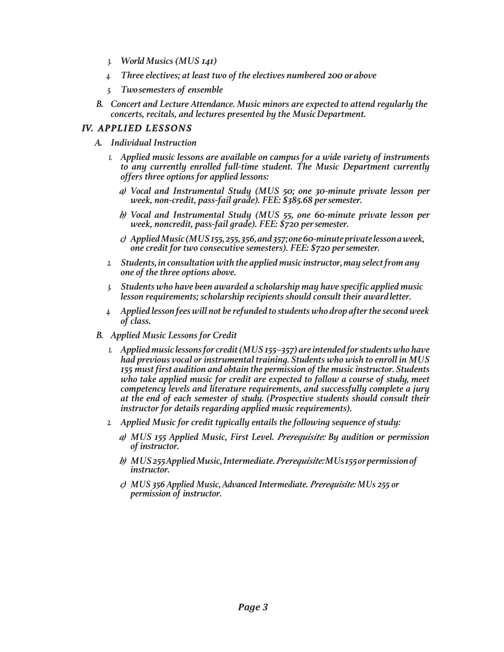- *3. World Musics (MUS 141)*
- *4. Three electives; at least two of the electives numbered 200 or above*
- *5. Two semesters of ensemble*
- *B. Concert and Lecture Attendance. Music minors are expected to attend regularly the concerts, recitals, and lectures presented by the MusicDepartment.*

#### *IV. APPLIED LESSONS*

- *A. Individual Instruction*
	- *1. Applied music lessons are available on campus for a wide variety of instruments to any currently enrolled full-time student. The Music Department currently offers three options for applied lessons:*
		- a) Vocal and Instrumental Study (MUS 50; one 30-minute private lesson per week, non-credit, pass-fail grade). FEE: \$385.68 per semester.
		- *b) Vocal and Instrumental Study (MUS 55, one 60-minute private lesson per week, noncredit, pass-fail grade). FEE: \$720 persemester.*
		- *c) AppliedMusic(MUS155,255,356,and357;one60-minuteprivatelessonaweek, one credit for two consecutive semesters). FEE: \$720 persemester.*
	- *2. Students,in consultation with the applied musicinstructor,may selectfrom any one of the three options above.*
	- *3. Students who have been awarded a scholarship may havespecific applied music lesson requirements; scholarship recipients should consult their awardletter.*
	- *4. Applied lesson fees will not berefunded to students who drop afterthesecond week of class.*
- *B. Applied Music Lessons for Credit*
	- *1. Appliedmusiclessonsforcredit(MUS 155–357) areintended forstudentswho have had previous vocal or instrumental training. Students who wish to enroll in MUS 155 must first audition and obtain the permission of the musicinstructor. Students who take applied music for credit are expected to follow a course of study, meet competency levels and literature requirements, and successfully complete a jury at the end of each semester of study. (Prospective students should consult their instructor for details regarding applied music requirements).*
	- 2. *Applied Music for credit typically entails the following sequence of study:* 
		- *a) MUS 155 Applied Music, First Level. Prerequisite: By audition or permission of instructor.*
		- *b) MUS255AppliedMusic,Intermediate.Prerequisite:MUs155orpermissionof instructor.*
		- *c) MUS 356 Applied Music,Advanced Intermediate. Prerequisite: MUs 255 or permission of instructor.*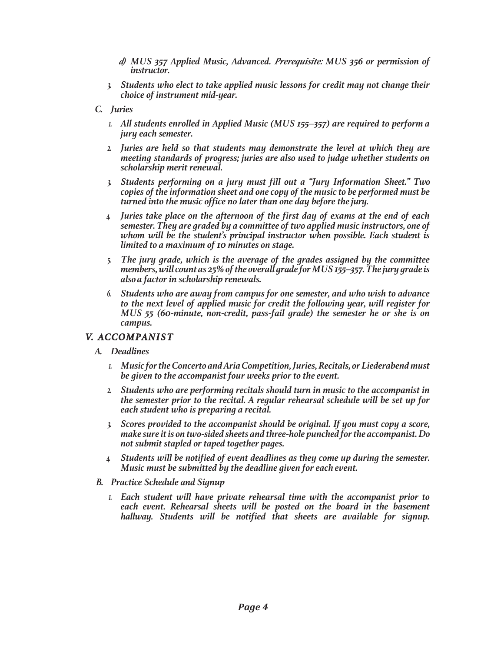- *d) MUS 357 Applied Music, Advanced. Prerequisite: MUS 356 or permission of instructor.*
- *3. Students who elect to take applied music lessons for credit may not change their choice of instrument mid-year.*
- *C. Juries*
	- *1. All students enrolled in Applied Music (MUS 155–357) are required to perform a jury each semester.*
	- *2. Juries are held so that students may demonstrate the level at which they are meeting standards of progress; juries are also used to judge whether students on scholarship merit renewal.*
	- *3. Students performing on a jury must fill out a "Jury Information Sheet." Two copies of theinformation sheet and onecopy of the musicto be performed must be turned into the music office no later than one day before thejury.*
	- *4. Juries take place on the afternoon of the first day of exams at the end of each semester.They are graded by a committee of two applied musicinstructors, one of whom will be the student's principal instructor when possible. Each student is limited to a maximum of 10 minutes on stage.*
	- *5. The jury grade, which is the average of the grades assigned by the committee members,willcount as 25%ofthe overall gradeforMUS 155–357.Thejury gradeis also a factor in scholarship renewals.*
	- *6. Students who are away from campus for one semester, and who wish to advance to the next level of applied music for credit the following year, will register for MUS 55 (60-minute, non-credit, pass-fail grade) the semester he or she is on campus.*

## *V. ACCOMPANIST*

- *A. Deadlines*
	- *1. MusicfortheConcerto andAriaCompetition,Juries,Recitals, or Liederabendmust*  be given to the accompanist four weeks prior to the event.
	- *2. Students who are performing recitals should turn in music to the accompanist in the semester prior to the recital. A regular rehearsal schedule will be set up for each student who is preparing a recital.*
	- *3. Scores provided to the accompanist should be original. If you must copy a score, makesureitis on two-sided sheets and three-hole punched forthe accompanist.Do not submit stapled or taped together pages.*
	- *4. Students will be notified of event deadlines as they come up during the semester. Music must be submitted by the deadline given for each event.*
- *B. Practice Schedule and Signup*
	- *1. Each student will have private rehearsal time with the accompanist prior to each event. Rehearsal sheets will be posted on the board in the basement hallway. Students will be notified that sheets are available for signup.*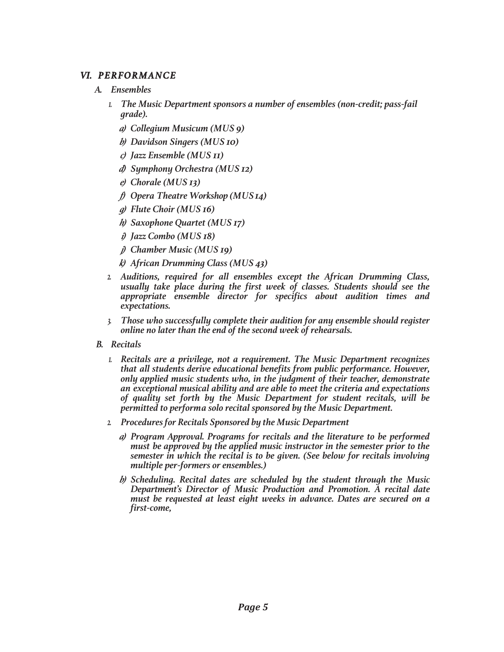# *VI. PERFORMANCE*

- *A. Ensembles*
	- *1. The Music Department sponsors a number of ensembles (non-credit; pass-fail grade).*
		- *a) Collegium Musicum (MUS 9)*
		- *b) Davidson Singers (MUS 10)*
		- *c) Jazz Ensemble (MUS 11)*
		- *d) Symphony Orchestra (MUS 12)*
		- *e) Chorale (MUS 13)*
		- *f) Opera Theatre Workshop (MUS14)*
		- *g) Flute Choir (MUS 16)*
		- *h) Saxophone Quartet (MUS 17)*
		- *i) Jazz Combo (MUS 18)*
		- *j) Chamber Music (MUS 19)*
		- *k) African Drumming Class (MUS 43)*
	- *2. Auditions, required for all ensembles except the African Drumming Class, usually take place during the first week of classes. Students should see the appropriate ensemble director for specifics about audition times and expectations.*
	- *3. Those who successfully complete their audition for any ensemble should register online no later than the end of the second week of rehearsals.*
- *B. Recitals*
	- *1. Recitals are a privilege, not a requirement. The Music Department recognizes that all students derive educational benefits from public performance. However, only applied music students who, in the judgment of their teacher, demonstrate an exceptional musical ability and are able to meet the criteria and expectations of quality set forth by the Music Department for student recitals, will be permitted to performa solo recital sponsored by the Music Department.*
	- *2. Proceduresfor Recitals Sponsored by the Music Department*
		- *a) Program Approval. Programs for recitals and the literature to be performed must be approved by the applied music instructor in the semester prior to the semester in which the recital is to be given. (See below for recitals involving multiple per-formers or ensembles.)*
		- *b) Scheduling. Recital dates are scheduled by the student through the Music Department's Director of Music Production and Promotion. A recital date must be requested at least eight weeks in advance. Dates are secured on a first-come,*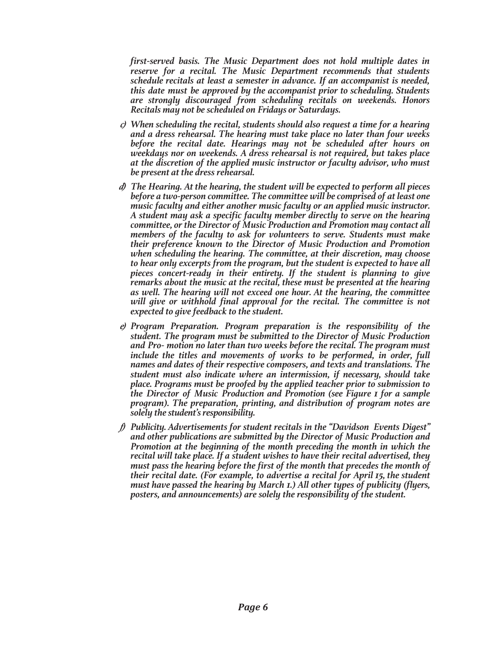*first-served basis. The Music Department does not hold multiple dates in reserve for a recital. The Music Department recommends that students schedule recitals at least a semester in advance. If an accompanist is needed, this date must be approved by the accompanist prior to scheduling. Students are strongly discouraged from scheduling recitals on weekends. Honors Recitals may not bescheduled on Fridays or Saturdays.*

- *c) When scheduling the recital, students should also request a time for a hearing and a dress rehearsal. The hearing must take place no later than four weeks before the recital date. Hearings may not be scheduled after hours on weekdays nor on weekends. A dress rehearsal is not required, but takes place at the discretion of the applied music instructor or faculty advisor, who must be present at the dress rehearsal.*
- d) The Hearing. At the hearing, the student will be expected to perform all pieces<br>before a two-person committee. The committee will be comprised of at least one *music faculty and either another music faculty or an applied music instructor. A student may ask a specific faculty member directly to serve on the hearing committee, or the Director of Music Production and Promotion may contact all members of the faculty to ask for volunteers to serve. Students must make their preference known to the Director of Music Production and Promotion when scheduling the hearing. The committee, at their discretion, may choose to hear only excerpts from the program, but the student is expected to have all pieces concert-ready in their entirety. If the student is planning to give remarks about the music at the recital, these must be presented at the hearing as well. The hearing will not exceed one hour. At the hearing, the committee will give or withhold final approval for the recital. The committee is not expected to give feedback to the student.*
- *e) Program Preparation. Program preparation is the responsibility of the student. The program must be submitted to the Director of Music Production and Pro- motion no later than two weeks before the recital. The program must include the titles and movements of works to be performed, in order, full names and dates of their respective composers, and texts and translations. The student must also indicate where an intermission, if necessary, should take place. Programs must be proofed by the applied teacher prior to submission to the Director of Music Production and Promotion (see Figure 1 for a sample program). The preparation, printing, and distribution of program notes are solely the student's responsibility.*
- *f) Publicity. Advertisements for student recitals in the "Davidson Events Digest" and other publications are submitted by the Director of Music Production and Promotion at the beginning of the month preceding the month in which the recital will take place. If a student wishes to have their recital advertised, they must pass the hearing before the first of the month that precedes the month of their recital date. (For example, to advertise a recital for April 15, the student* must have passed the hearing by March I.) All other types of publicity (flyers, posters, and announcements) are solely the responsibility of the student.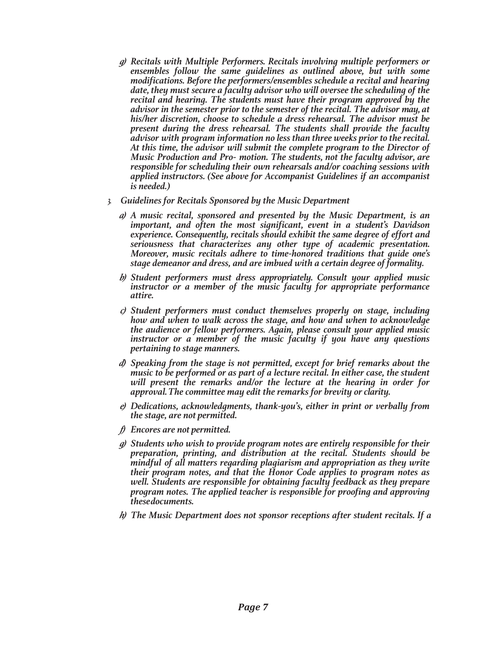- *g) Recitals with Multiple Performers. Recitals involving multiple performers or ensembles follow the same guidelines as outlined above, but with some modifications. Before the performers/ensembles schedule a recital and hearing date, they must secure a faculty advisor who will oversee the scheduling of the recital and hearing. The students must have their program approved by the advisor in the semester prior to the semester of the recital. The advisor may, at his/her discretion, choose to schedule a dress rehearsal. The advisor must be present during the dress rehearsal. The students shall provide the faculty advisor with program information no less than three weeks prior to therecital. At this time, the advisor will submit the complete program to the Director of Music Production and Pro- motion. The students, not the faculty advisor, are responsible for scheduling their own rehearsals and/or coaching sessions with applied instructors. (See above for Accompanist Guidelines if an accompanist is needed.)*
- *3. Guidelines for Recitals Sponsored by the Music Department*
	- *a) A music recital, sponsored and presented by the Music Department, is an important, and often the most significant, event in a student's Davidson experience. Consequently, recitals should exhibit the same degree of effort and seriousness that characterizes any other type of academic presentation. Moreover, music recitals adhere to time-honored traditions that guide one's stage demeanor and dress, and are imbued with a certain degree of formality.*
	- *b) Student performers must dress appropriately. Consult your applied music instructor or <sup>a</sup> member of the music faculty for appropriate performance attire.*
	- *c) Student performers must conduct themselves properly on stage, including how and when to walk across the stage, and how and when to acknowledge the audience or fellow performers. Again, please consult your applied music instructor or a member of the music faculty if you have any questions pertaining to stage manners.*
	- *d) Speaking from the stage is not permitted, except for brief remarks about the music to be performed or as part of a lecture recital. In either case, the student will present the remarks and/or the lecture at the hearing in order for approval.The committee may edit the remarks for brevity orclarity.*
	- *e) Dedications, acknowledgments, thank-you's, either in print or verbally from the stage, are not permitted.*
	- *f) Encores are not permitted.*
	- *g) Students who wish to provide program notes are entirely responsible for their preparation, printing, and distribution at the recital. Students should be mindful of all matters regarding plagiarism and appropriation as they write their program notes, and that the Honor Code applies to program notes as well. Students are responsible for obtaining faculty feedback as they prepare program notes. The applied teacher is responsible for proofing and approving thesedocuments.*
	- *h) The Music Department does not sponsor receptions after student recitals. If a*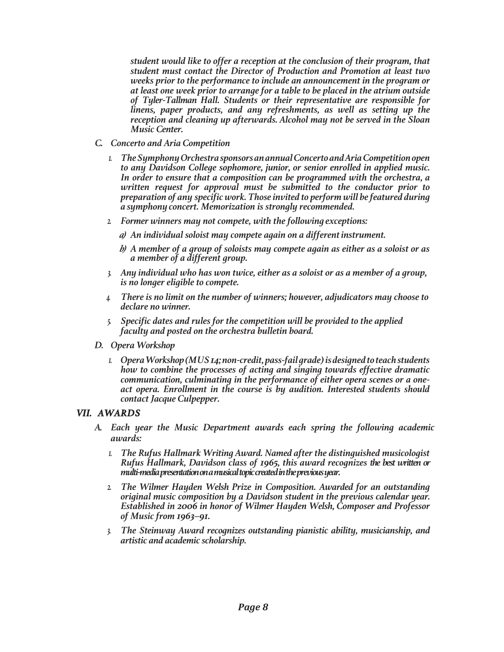*student would like to offer a reception at the conclusion of their program, that student must contact the Director of Production and Promotion at least two weeks prior to the performance to include an announcement in the program or at least one week prior to arrange for a table to be placed in the atrium outside of Tyler-Tallman Hall. Students or their representative are responsible for linens, paper products, and any refreshments, as well as setting up the reception and cleaning up afterwards. Alcohol may not be served in the Sloan Music Center.*

- *C. Concerto and Aria Competition*
	- *1. TheSymphonyOrchestrasponsorsanannualConcerto andAriaCompetitionopen to any Davidson College sophomore, junior, or senior enrolled in applied music. In order to ensure that a composition can be programmed with the orchestra, a written request for approval must be submitted to the conductor prior to preparation of any specific work.Thoseinvited to perform will befeatured during a symphony concert. Memorization is strongly recommended.*
	- *2. Former winners may not compete, with the following exceptions:*
		- *a) An individual soloist may compete again on a differentinstrument.*
		- *b) A member of a group of soloists may compete again as either as a soloist or as a member of a different group.*
	- *3. Any individual who has won twice, either as a soloist or as a member of a group, is no longer eligible to compete.*
	- *4. There is no limit on the number of winners; however, adjudicators may choose to declare no winner.*
	- *5. Specific dates and rules for the competition will be provided to the applied faculty and posted on the orchestra bulletin board.*
- *D. Opera Workshop*
	- *1. OperaWorkshop(MUS14;non-credit,pass-fail grade)is designed to teachstudents how to combine the processes of acting and singing towards effective dramatic communication, culminating in the performance of either opera scenes or a one- act opera. Enrollment in the course is by audition. Interested students should contact Jacque Culpepper.*

#### *VII. AWARDS*

- *A. Each year the Music Department awards each spring the following academic awards:*
	- *1. The Rufus Hallmark Writing Award. Named after the distinguished musicologist Rufus Hallmark, Davidson class of 1965, this award recognizes the best written or multi-media presentation on a musical topic created in the previous year.*
	- *2. The Wilmer Hayden Welsh Prize in Composition. Awarded for an outstanding original music composition by a Davidson student in the previous calendar year. Established in 2006 in honor of Wilmer Hayden Welsh, Composer and Professor of Music from 1963–91.*
	- *3. The Steinway Award recognizes outstanding pianistic ability, musicianship, and artistic and academic scholarship.*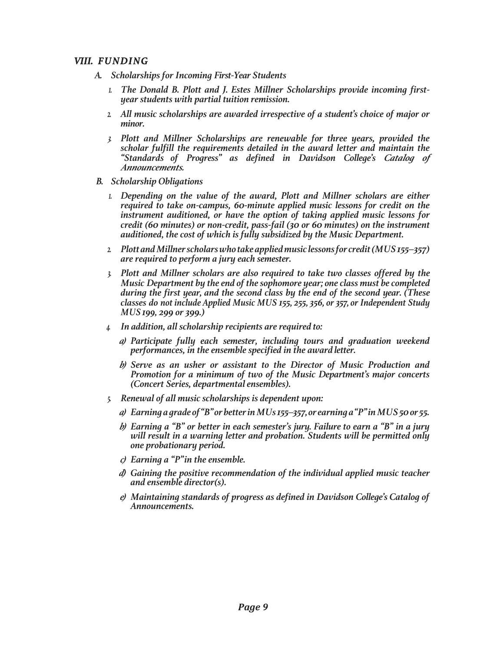#### *VIII. FUNDING*

- *A. Scholarships for Incoming First-Year Students*
	- *1. The Donald B. Plott and J. Estes Millner Scholarships provide incoming first- year students with partial tuition remission.*
	- *2. All music scholarships are awarded irrespective of a student's choice of major or minor.*
	- *3. Plott and Millner Scholarships are renewable for three years, provided the scholar fulfill the requirements detailed in the award letter and maintain the "Standards of Progress" as defined in Davidson College's Catalog of Announcements.*
- *B. Scholarship Obligations*
	- *1. Depending on the value of the award, Plott and Millner scholars are either required to take on-campus, 60-minute applied music lessons for credit on the instrument auditioned, or have the option of taking applied music lessons for credit (60 minutes) or non-credit, pass-fail (30 or 60 minutes) on the instrument auditioned, the cost of which is fully subsidized by the Music Department.*
	- *2. Plott andMillnerscholarswho take appliedmusiclessonsforcredit(MUS155–357) are required to perform a jury each semester.*
	- *3. Plott and Millner scholars are also required to take two classes offered by the Music Department by theend of thesophomore year; oneclass must becompleted during the first year, and the second class by the end of the second year. (These classes do not include Applied Music MUS 155, 255, 356, or 357, or Independent Study MUS 199, 299 or 399.)*
	- *4. In addition, all scholarship recipients are required to:*
		- *a) Participate fully each semester, including tours and graduation weekend performances, in the ensemble specified in the award letter.*
		- *b) Serve as an usher or assistant to the Director of Music Production and Promotion for a minimum of two of the Music Department's major concerts (Concert Series, departmental ensembles).*
	- *5. Renewal of all music scholarships is dependent upon:*
		- *a) Earning a grade of"B" or betterinMUs155–357,orearning a"P"inMUS50or 55.*
		- *b) Earning a "B" or better in each semester's jury. Failure to earn a "B" in a jury will result in a warning letter and probation. Students will be permitted only one probationary period.*
		- *c) Earning a "P"in the ensemble.*
		- *d) Gaining the positive recommendation of the individual applied music teacher and ensemble director(s).*
		- *e) Maintaining standards of progress as defined in Davidson College's Catalog of Announcements.*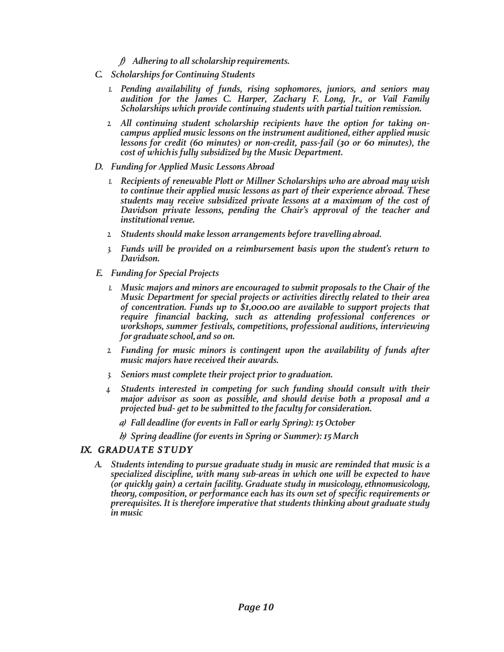- *f) Adhering to all scholarship requirements.*
- *C. Scholarships for Continuing Students*
	- *1. Pending availability of funds, rising sophomores, juniors, and seniors may audition for the James C. Harper, Zachary F. Long, Jr., or Vail Family Scholarships which provide continuing students with partial tuition remission.*
	- 2. All continuing student scholarship recipients have the option for taking on-<br>campus applied music lessons on the instrument auditioned, either applied music *lessons for credit (60 minutes) or non-credit, pass-fail (30 or 60 minutes), the cost of whichis fully subsidized by the Music Department.*
- *D. Funding for Applied Music Lessons Abroad*
	- *1. Recipients of renewable Plott or Millner Scholarships who are abroad may wish to continue their applied music lessons as part of their experience abroad. These students may receive subsidized private lessons at a maximum of the cost of Davidson private lessons, pending the Chair's approval of the teacher and institutional venue.*
	- *2. Students should make lesson arrangements before travelling abroad.*
	- *3. Funds will be provided on a reimbursement basis upon the student's return to Davidson.*
- *E. Funding for Special Projects*
	- *1. Music majors and minors are encouraged to submit proposals to the Chair of the Music Department for special projects or activities directly related to their area of concentration. Funds up to \$1,000.00 are available to support projects that require financial backing, such as attending professional conferences or workshops, summer festivals, competitions, professional auditions, interviewing for graduateschool, and so on.*
	- *2. Funding for music minors is contingent upon the availability of funds after music majors have received their awards.*
	- *3. Seniors must complete their project prior to graduation.*
	- *4. Students interested in competing for such funding should consult with their major advisor as soon as possible, and should devise both a proposal and a projected bud- get to be submitted to the faculty forconsideration.*
		- *a) Fall deadline (for events in Fall or early Spring): 15October*
		- *b) Spring deadline (for events in Spring or Summer): 15March*

## *IX. GRADUATE STUDY*

*A. Students intending to pursue graduate study in music are reminded that music is a specialized discipline, with many sub-areas in which one will be expected to have (or quickly gain) a certain facility. Graduate study in musicology,ethnomusicology, theory, composition, or performance each has its own set of specific requirements or prerequisites.It is therefore imperative that students thinking about graduate study in music*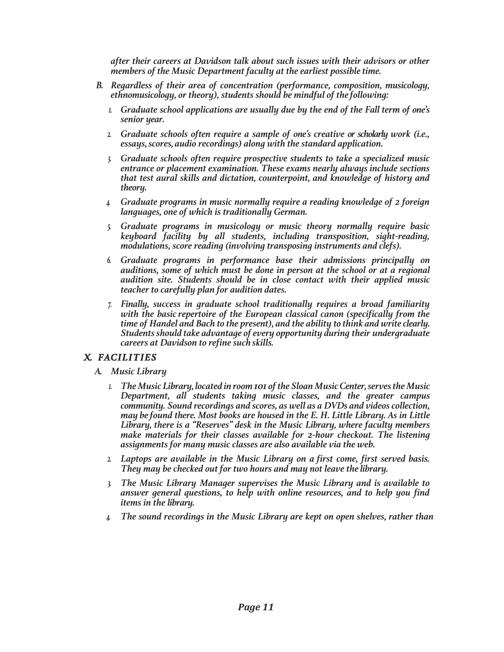*after their careers at Davidson talk about such issues with their advisors or other members of the Music Department faculty at the earliest possibletime.*

- *B. Regardless of their area of concentration (performance, composition, musicology, ethnomusicology, or theory), students should be mindful of thefollowing:*
	- *1. Graduate school applications are usually due by the end of the Fall term of one's senior year.*
	- *2. Graduate schools often require a sample of one's creative or scholarly work (i.e., essays,scores, audio recordings) along with the standard application.*
	- *3. Graduate schools often require prospective students to take a specialized music entrance or placement examination. These exams nearly always include sections that test aural skills and dictation, counterpoint, and knowledge of history and theory.*
	- *4. Graduate programs in music normally require a reading knowledge of 2 foreign languages, one of which is traditionally German.*
	- *5. Graduate programs in musicology or music theory normally require basic keyboard facility by all students, including transposition, sight-reading, modulations, score reading (involving transposing instruments and clefs).*
	- *6. Graduate programs in performance base their admissions principally on auditions, some of which must be done in person at the school or at a regional audition site. Students should be in close contact with their applied music teacher to carefully plan for audition dates.*
	- *7. Finally, success in graduate school traditionally requires a broad familiarity with the basicrepertoire of the European classical canon (specifically from the time of Handel and Bach to the present), and the ability to think and writeclearly. Studentsshould take advantage of every opportunity during their undergraduate careers at Davidson to refine such skills.*

## *X. FACILITIES*

- *A. Music Library*
	- *1. TheMusic Library,located in room101 of the Sloan MusicCenter,servesthe Music Department, all students taking music classes, and the greater campus community. Sound recordings and scores, as well as a DVDs and videoscollection, may befound there. Most books are housed in the E. H. Little Library. As in Little Library, there is a "Reserves" desk in the Music Library, where faculty members make materials for their classes available for 2-hour checkout. The listening assignments for many music classes are also available via the web.*
	- *2. Laptops are available in the Music Library on a first come, first served basis. They may be checked out for two hours and may not leave thelibrary.*
	- *3. The Music Library Manager supervises the Music Library and is available to answer general questions, to help with online resources, and to help you find items in the library.*
	- *4. The sound recordings in the Music Library are kept on open shelves, rather than*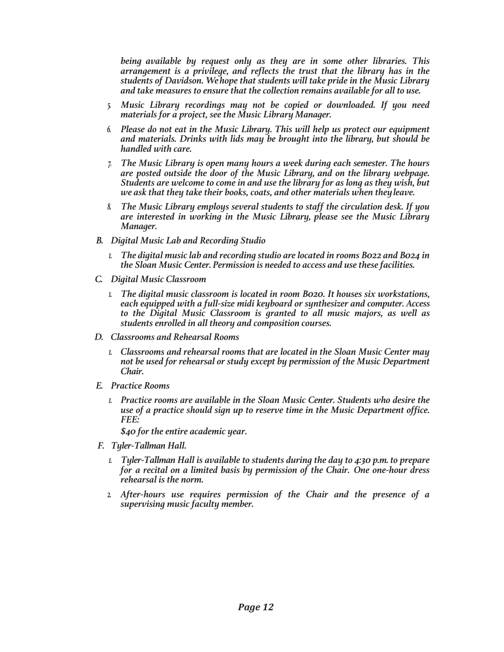*being available by request only as they are in some other libraries. This arrangement is a privilege, and reflects the trust that the library has in the students of Davidson. We hope that students will take pride in the Music Library and take measures to ensure that the collection remains available for all to use.*

- *5. Music Library recordings may not be copied or downloaded. If you need materials for a project, see the Music Library Manager.*
- *6. Please do not eat in the Music Library. This will help us protect our equipment and materials. Drinks with lids may be brought into the library, but should be handled with care.*
- *7. The Music Library is open many hours a week during each semester. The hours are posted outside the door of the Music Library, and on the library webpage. Students are welcome to come in and use the library for as long as they wish, but we ask that they take their books, coats, and other materials when theyleave.*
- *8. The Music Library employs several students to staff the circulation desk. If you are interested in working in the Music Library, please see the Music Library Manager.*
- *B. Digital Music Lab and Recording Studio*
	- *1. The digital musiclab and recording studio arelocated in rooms B022 and B024 in the Sloan Music Center. Permission is needed to access and usethesefacilities.*
- *C. Digital Music Classroom*
	- *1. The digital music classroom is located in room B020. It houses six workstations, each equipped with a full-size midi keyboard or synthesizer and computer. Access to the Digital Music Classroom is granted to all music majors, as well as students enrolled in all theory and composition courses.*
- *D. Classrooms and Rehearsal Rooms*
	- *1. Classrooms and rehearsal rooms that are located in the Sloan Music Center may not be used for rehearsal or study except by permission of the Music Department Chair.*
- *E. Practice Rooms*
	- *1. Practice rooms are available in the Sloan Music Center. Students who desire the use of a practice should sign up to reserve time in the Music Department office. FEE:*

*\$40 for the entire academic year.*

- *F. Tyler-Tallman Hall.*
	- *1. Tyler-Tallman Hall is available to students during the day to 4:30 p.m. to prepare for a recital on a limited basis by permission of the Chair. One one-hour dress rehearsal is the norm.*
	- *2. After-hours use requires permission of the Chair and the presence of a supervising music faculty member.*